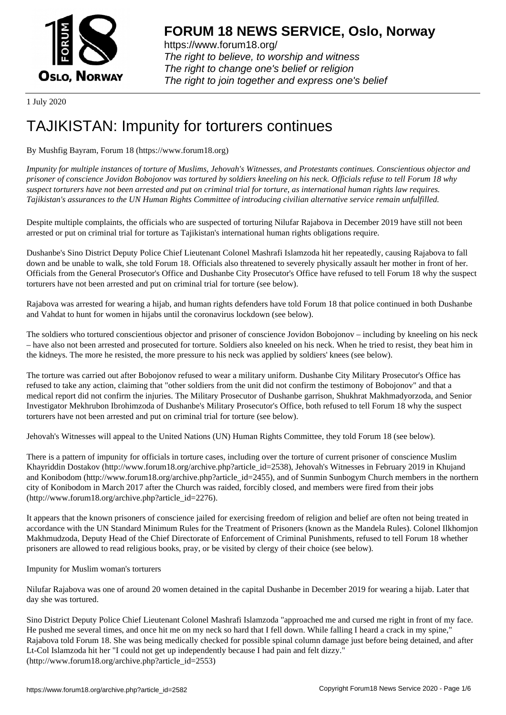

https://www.forum18.org/ The right to believe, to worship and witness The right to change one's belief or religion [The right to join together a](https://www.forum18.org/)nd express one's belief

1 July 2020

## [TAJIKISTAN: Im](https://www.forum18.org)punity for torturers continues

## By Mushfig Bayram, Forum 18 (https://www.forum18.org)

*Impunity for multiple instances of torture of Muslims, Jehovah's Witnesses, and Protestants continues. Conscientious objector and prisoner of conscience Jovidon Bobojonov was tortured by soldiers kneeling on his neck. Officials refuse to tell Forum 18 why suspect torturers have not been arrested and put on criminal trial for torture, as international human rights law requires. Tajikistan's assurances to the UN Human Rights Committee of introducing civilian alternative service remain unfulfilled.*

Despite multiple complaints, the officials who are suspected of torturing Nilufar Rajabova in December 2019 have still not been arrested or put on criminal trial for torture as Tajikistan's international human rights obligations require.

Dushanbe's Sino District Deputy Police Chief Lieutenant Colonel Mashrafi Islamzoda hit her repeatedly, causing Rajabova to fall down and be unable to walk, she told Forum 18. Officials also threatened to severely physically assault her mother in front of her. Officials from the General Prosecutor's Office and Dushanbe City Prosecutor's Office have refused to tell Forum 18 why the suspect torturers have not been arrested and put on criminal trial for torture (see below).

Rajabova was arrested for wearing a hijab, and human rights defenders have told Forum 18 that police continued in both Dushanbe and Vahdat to hunt for women in hijabs until the coronavirus lockdown (see below).

The soldiers who tortured conscientious objector and prisoner of conscience Jovidon Bobojonov – including by kneeling on his neck – have also not been arrested and prosecuted for torture. Soldiers also kneeled on his neck. When he tried to resist, they beat him in the kidneys. The more he resisted, the more pressure to his neck was applied by soldiers' knees (see below).

The torture was carried out after Bobojonov refused to wear a military uniform. Dushanbe City Military Prosecutor's Office has refused to take any action, claiming that "other soldiers from the unit did not confirm the testimony of Bobojonov" and that a medical report did not confirm the injuries. The Military Prosecutor of Dushanbe garrison, Shukhrat Makhmadyorzoda, and Senior Investigator Mekhrubon Ibrohimzoda of Dushanbe's Military Prosecutor's Office, both refused to tell Forum 18 why the suspect torturers have not been arrested and put on criminal trial for torture (see below).

Jehovah's Witnesses will appeal to the United Nations (UN) Human Rights Committee, they told Forum 18 (see below).

There is a pattern of impunity for officials in torture cases, including over the torture of current prisoner of conscience Muslim Khayriddin Dostakov (http://www.forum18.org/archive.php?article\_id=2538), Jehovah's Witnesses in February 2019 in Khujand and Konibodom (http://www.forum18.org/archive.php?article\_id=2455), and of Sunmin Sunbogym Church members in the northern city of Konibodom in March 2017 after the Church was raided, forcibly closed, and members were fired from their jobs (http://www.forum18.org/archive.php?article\_id=2276).

It appears that the known prisoners of conscience jailed for exercising freedom of religion and belief are often not being treated in accordance with the UN Standard Minimum Rules for the Treatment of Prisoners (known as the Mandela Rules). Colonel Ilkhomjon Makhmudzoda, Deputy Head of the Chief Directorate of Enforcement of Criminal Punishments, refused to tell Forum 18 whether prisoners are allowed to read religious books, pray, or be visited by clergy of their choice (see below).

Impunity for Muslim woman's torturers

Nilufar Rajabova was one of around 20 women detained in the capital Dushanbe in December 2019 for wearing a hijab. Later that day she was tortured.

Sino District Deputy Police Chief Lieutenant Colonel Mashrafi Islamzoda "approached me and cursed me right in front of my face. He pushed me several times, and once hit me on my neck so hard that I fell down. While falling I heard a crack in my spine," Rajabova told Forum 18. She was being medically checked for possible spinal column damage just before being detained, and after Lt-Col Islamzoda hit her "I could not get up independently because I had pain and felt dizzy." (http://www.forum18.org/archive.php?article\_id=2553)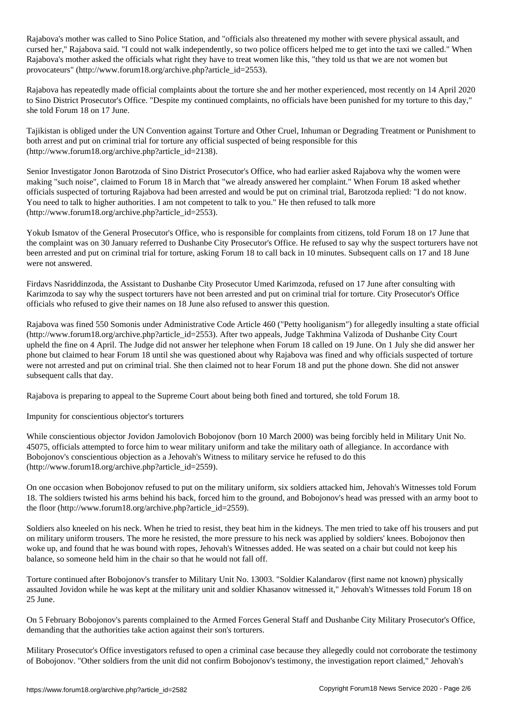Rajabova's mother was called to Sino Police Station, and "officials also threatened my mother with severe physical assault, and cursed her," Rajabova said. "I could not walk independently, so two police officers helped me to get into the taxi we called." When Rajabova's mother asked the officials what right they have to treat women like this, "they told us that we are not women but provocateurs" (http://www.forum18.org/archive.php?article\_id=2553).

Rajabova has repeatedly made official complaints about the torture she and her mother experienced, most recently on 14 April 2020 to Sino District Prosecutor's Office. "Despite my continued complaints, no officials have been punished for my torture to this day," she told Forum 18 on 17 June.

Tajikistan is obliged under the UN Convention against Torture and Other Cruel, Inhuman or Degrading Treatment or Punishment to both arrest and put on criminal trial for torture any official suspected of being responsible for this (http://www.forum18.org/archive.php?article\_id=2138).

Senior Investigator Jonon Barotzoda of Sino District Prosecutor's Office, who had earlier asked Rajabova why the women were making "such noise", claimed to Forum 18 in March that "we already answered her complaint." When Forum 18 asked whether officials suspected of torturing Rajabova had been arrested and would be put on criminal trial, Barotzoda replied: "I do not know. You need to talk to higher authorities. I am not competent to talk to you." He then refused to talk more (http://www.forum18.org/archive.php?article\_id=2553).

Yokub Ismatov of the General Prosecutor's Office, who is responsible for complaints from citizens, told Forum 18 on 17 June that the complaint was on 30 January referred to Dushanbe City Prosecutor's Office. He refused to say why the suspect torturers have not been arrested and put on criminal trial for torture, asking Forum 18 to call back in 10 minutes. Subsequent calls on 17 and 18 June were not answered.

Firdavs Nasriddinzoda, the Assistant to Dushanbe City Prosecutor Umed Karimzoda, refused on 17 June after consulting with Karimzoda to say why the suspect torturers have not been arrested and put on criminal trial for torture. City Prosecutor's Office officials who refused to give their names on 18 June also refused to answer this question.

Rajabova was fined 550 Somonis under Administrative Code Article 460 ("Petty hooliganism") for allegedly insulting a state official (http://www.forum18.org/archive.php?article\_id=2553). After two appeals, Judge Takhmina Valizoda of Dushanbe City Court upheld the fine on 4 April. The Judge did not answer her telephone when Forum 18 called on 19 June. On 1 July she did answer her phone but claimed to hear Forum 18 until she was questioned about why Rajabova was fined and why officials suspected of torture were not arrested and put on criminal trial. She then claimed not to hear Forum 18 and put the phone down. She did not answer subsequent calls that day.

Rajabova is preparing to appeal to the Supreme Court about being both fined and tortured, she told Forum 18.

Impunity for conscientious objector's torturers

While conscientious objector Jovidon Jamolovich Bobojonov (born 10 March 2000) was being forcibly held in Military Unit No. 45075, officials attempted to force him to wear military uniform and take the military oath of allegiance. In accordance with Bobojonov's conscientious objection as a Jehovah's Witness to military service he refused to do this (http://www.forum18.org/archive.php?article\_id=2559).

On one occasion when Bobojonov refused to put on the military uniform, six soldiers attacked him, Jehovah's Witnesses told Forum 18. The soldiers twisted his arms behind his back, forced him to the ground, and Bobojonov's head was pressed with an army boot to the floor (http://www.forum18.org/archive.php?article\_id=2559).

Soldiers also kneeled on his neck. When he tried to resist, they beat him in the kidneys. The men tried to take off his trousers and put on military uniform trousers. The more he resisted, the more pressure to his neck was applied by soldiers' knees. Bobojonov then woke up, and found that he was bound with ropes, Jehovah's Witnesses added. He was seated on a chair but could not keep his balance, so someone held him in the chair so that he would not fall off.

Torture continued after Bobojonov's transfer to Military Unit No. 13003. "Soldier Kalandarov (first name not known) physically assaulted Jovidon while he was kept at the military unit and soldier Khasanov witnessed it," Jehovah's Witnesses told Forum 18 on 25 June.

On 5 February Bobojonov's parents complained to the Armed Forces General Staff and Dushanbe City Military Prosecutor's Office, demanding that the authorities take action against their son's torturers.

Military Prosecutor's Office investigators refused to open a criminal case because they allegedly could not corroborate the testimony of Bobojonov. "Other soldiers from the unit did not confirm Bobojonov's testimony, the investigation report claimed," Jehovah's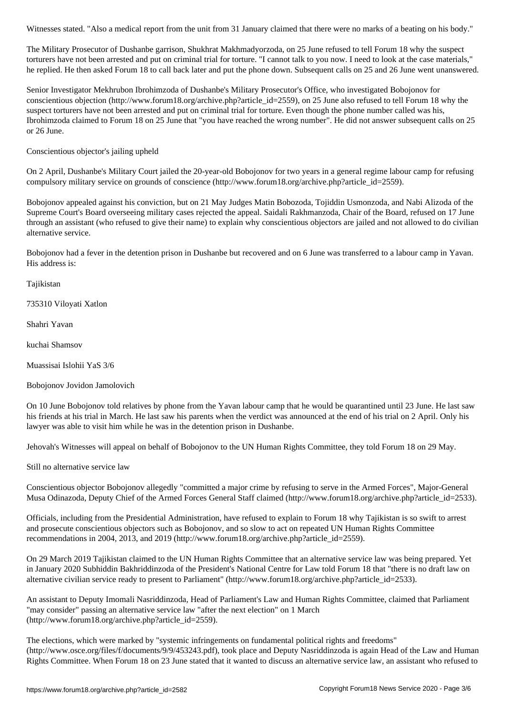The Military Prosecutor of Dushanbe garrison, Shukhrat Makhmadyorzoda, on 25 June refused to tell Forum 18 why the suspect torturers have not been arrested and put on criminal trial for torture. "I cannot talk to you now. I need to look at the case materials," he replied. He then asked Forum 18 to call back later and put the phone down. Subsequent calls on 25 and 26 June went unanswered.

Senior Investigator Mekhrubon Ibrohimzoda of Dushanbe's Military Prosecutor's Office, who investigated Bobojonov for conscientious objection (http://www.forum18.org/archive.php?article id=2559), on 25 June also refused to tell Forum 18 why the suspect torturers have not been arrested and put on criminal trial for torture. Even though the phone number called was his, Ibrohimzoda claimed to Forum 18 on 25 June that "you have reached the wrong number". He did not answer subsequent calls on 25 or 26 June.

Conscientious objector's jailing upheld

On 2 April, Dushanbe's Military Court jailed the 20-year-old Bobojonov for two years in a general regime labour camp for refusing compulsory military service on grounds of conscience (http://www.forum18.org/archive.php?article\_id=2559).

Bobojonov appealed against his conviction, but on 21 May Judges Matin Bobozoda, Tojiddin Usmonzoda, and Nabi Alizoda of the Supreme Court's Board overseeing military cases rejected the appeal. Saidali Rakhmanzoda, Chair of the Board, refused on 17 June through an assistant (who refused to give their name) to explain why conscientious objectors are jailed and not allowed to do civilian alternative service.

Bobojonov had a fever in the detention prison in Dushanbe but recovered and on 6 June was transferred to a labour camp in Yavan. His address is:

Tajikistan

735310 Viloyati Xatlon

Shahri Yavan

kuchai Shamsov

Muassisai Islohii YaS 3/6

Bobojonov Jovidon Jamolovich

On 10 June Bobojonov told relatives by phone from the Yavan labour camp that he would be quarantined until 23 June. He last saw his friends at his trial in March. He last saw his parents when the verdict was announced at the end of his trial on 2 April. Only his lawyer was able to visit him while he was in the detention prison in Dushanbe.

Jehovah's Witnesses will appeal on behalf of Bobojonov to the UN Human Rights Committee, they told Forum 18 on 29 May.

Still no alternative service law

Conscientious objector Bobojonov allegedly "committed a major crime by refusing to serve in the Armed Forces", Major-General Musa Odinazoda, Deputy Chief of the Armed Forces General Staff claimed (http://www.forum18.org/archive.php?article\_id=2533).

Officials, including from the Presidential Administration, have refused to explain to Forum 18 why Tajikistan is so swift to arrest and prosecute conscientious objectors such as Bobojonov, and so slow to act on repeated UN Human Rights Committee recommendations in 2004, 2013, and 2019 (http://www.forum18.org/archive.php?article\_id=2559).

On 29 March 2019 Tajikistan claimed to the UN Human Rights Committee that an alternative service law was being prepared. Yet in January 2020 Subhiddin Bakhriddinzoda of the President's National Centre for Law told Forum 18 that "there is no draft law on alternative civilian service ready to present to Parliament" (http://www.forum18.org/archive.php?article\_id=2533).

An assistant to Deputy Imomali Nasriddinzoda, Head of Parliament's Law and Human Rights Committee, claimed that Parliament "may consider" passing an alternative service law "after the next election" on 1 March (http://www.forum18.org/archive.php?article\_id=2559).

The elections, which were marked by "systemic infringements on fundamental political rights and freedoms" (http://www.osce.org/files/f/documents/9/9/453243.pdf), took place and Deputy Nasriddinzoda is again Head of the Law and Human Rights Committee. When Forum 18 on 23 June stated that it wanted to discuss an alternative service law, an assistant who refused to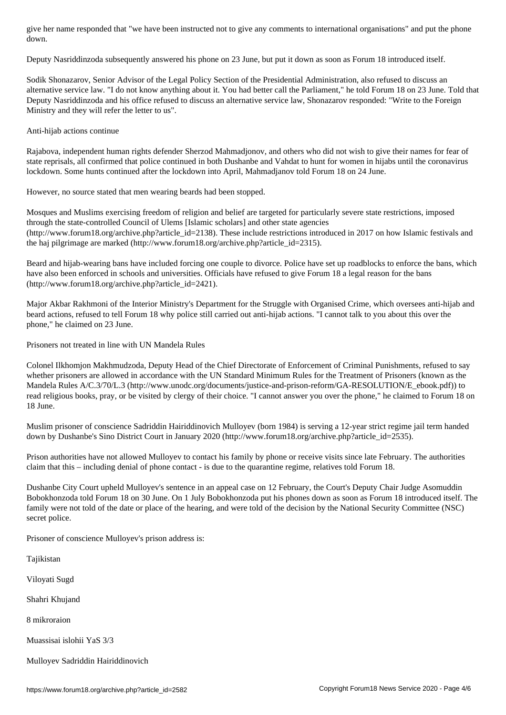Deputy Nasriddinzoda subsequently answered his phone on 23 June, but put it down as soon as Forum 18 introduced itself.

Sodik Shonazarov, Senior Advisor of the Legal Policy Section of the Presidential Administration, also refused to discuss an alternative service law. "I do not know anything about it. You had better call the Parliament," he told Forum 18 on 23 June. Told that Deputy Nasriddinzoda and his office refused to discuss an alternative service law, Shonazarov responded: "Write to the Foreign Ministry and they will refer the letter to us".

## Anti-hijab actions continue

Rajabova, independent human rights defender Sherzod Mahmadjonov, and others who did not wish to give their names for fear of state reprisals, all confirmed that police continued in both Dushanbe and Vahdat to hunt for women in hijabs until the coronavirus lockdown. Some hunts continued after the lockdown into April, Mahmadjanov told Forum 18 on 24 June.

However, no source stated that men wearing beards had been stopped.

Mosques and Muslims exercising freedom of religion and belief are targeted for particularly severe state restrictions, imposed through the state-controlled Council of Ulems [Islamic scholars] and other state agencies  $(\text{http://www.forum18.org/architecture.php?article id=2138})$ . These include restrictions introduced in 2017 on how Islamic festivals and the haj pilgrimage are marked (http://www.forum18.org/archive.php?article\_id=2315).

Beard and hijab-wearing bans have included forcing one couple to divorce. Police have set up roadblocks to enforce the bans, which have also been enforced in schools and universities. Officials have refused to give Forum 18 a legal reason for the bans (http://www.forum18.org/archive.php?article\_id=2421).

Major Akbar Rakhmoni of the Interior Ministry's Department for the Struggle with Organised Crime, which oversees anti-hijab and beard actions, refused to tell Forum 18 why police still carried out anti-hijab actions. "I cannot talk to you about this over the phone," he claimed on 23 June.

Prisoners not treated in line with UN Mandela Rules

Colonel Ilkhomjon Makhmudzoda, Deputy Head of the Chief Directorate of Enforcement of Criminal Punishments, refused to say whether prisoners are allowed in accordance with the UN Standard Minimum Rules for the Treatment of Prisoners (known as the Mandela Rules A/C.3/70/L.3 (http://www.unodc.org/documents/justice-and-prison-reform/GA-RESOLUTION/E\_ebook.pdf)) to read religious books, pray, or be visited by clergy of their choice. "I cannot answer you over the phone," he claimed to Forum 18 on 18 June.

Muslim prisoner of conscience Sadriddin Hairiddinovich Mulloyev (born 1984) is serving a 12-year strict regime jail term handed down by Dushanbe's Sino District Court in January 2020 (http://www.forum18.org/archive.php?article\_id=2535).

Prison authorities have not allowed Mulloyev to contact his family by phone or receive visits since late February. The authorities claim that this – including denial of phone contact - is due to the quarantine regime, relatives told Forum 18.

Dushanbe City Court upheld Mulloyev's sentence in an appeal case on 12 February, the Court's Deputy Chair Judge Asomuddin Bobokhonzoda told Forum 18 on 30 June. On 1 July Bobokhonzoda put his phones down as soon as Forum 18 introduced itself. The family were not told of the date or place of the hearing, and were told of the decision by the National Security Committee (NSC) secret police.

Prisoner of conscience Mulloyev's prison address is:

Tajikistan

Viloyati Sugd

Shahri Khujand

8 mikroraion

Muassisai islohii YaS 3/3

Mulloyev Sadriddin Hairiddinovich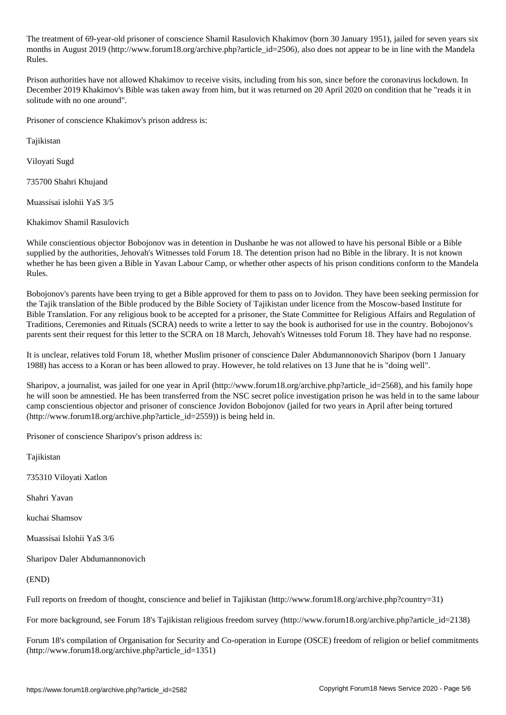The treatment of 69-year-old prisoner of conscience Shamil Rasulovich Khakimov (born 30 January 1951), jailed for seven years six months in August 2019 (http://www.forum18.org/archive.php?article\_id=2506), also does not appear to be in line with the Mandela Rules.

Prison authorities have not allowed Khakimov to receive visits, including from his son, since before the coronavirus lockdown. In December 2019 Khakimov's Bible was taken away from him, but it was returned on 20 April 2020 on condition that he "reads it in solitude with no one around".

Prisoner of conscience Khakimov's prison address is:

Tajikistan

Viloyati Sugd

735700 Shahri Khujand

Muassisai islohii YaS 3/5

Khakimov Shamil Rasulovich

While conscientious objector Bobojonov was in detention in Dushanbe he was not allowed to have his personal Bible or a Bible supplied by the authorities, Jehovah's Witnesses told Forum 18. The detention prison had no Bible in the library. It is not known whether he has been given a Bible in Yavan Labour Camp, or whether other aspects of his prison conditions conform to the Mandela Rules.

Bobojonov's parents have been trying to get a Bible approved for them to pass on to Jovidon. They have been seeking permission for the Tajik translation of the Bible produced by the Bible Society of Tajikistan under licence from the Moscow-based Institute for Bible Translation. For any religious book to be accepted for a prisoner, the State Committee for Religious Affairs and Regulation of Traditions, Ceremonies and Rituals (SCRA) needs to write a letter to say the book is authorised for use in the country. Bobojonov's parents sent their request for this letter to the SCRA on 18 March, Jehovah's Witnesses told Forum 18. They have had no response.

It is unclear, relatives told Forum 18, whether Muslim prisoner of conscience Daler Abdumannonovich Sharipov (born 1 January 1988) has access to a Koran or has been allowed to pray. However, he told relatives on 13 June that he is "doing well".

Sharipov, a journalist, was jailed for one year in April (http://www.forum18.org/archive.php?article\_id=2568), and his family hope he will soon be amnestied. He has been transferred from the NSC secret police investigation prison he was held in to the same labour camp conscientious objector and prisoner of conscience Jovidon Bobojonov (jailed for two years in April after being tortured (http://www.forum18.org/archive.php?article\_id=2559)) is being held in.

Prisoner of conscience Sharipov's prison address is:

Tajikistan

735310 Viloyati Xatlon

Shahri Yavan

kuchai Shamsov

Muassisai Islohii YaS 3/6

Sharipov Daler Abdumannonovich

(END)

Full reports on freedom of thought, conscience and belief in Tajikistan (http://www.forum18.org/archive.php?country=31)

For more background, see Forum 18's Tajikistan religious freedom survey (http://www.forum18.org/archive.php?article\_id=2138)

Forum 18's compilation of Organisation for Security and Co-operation in Europe (OSCE) freedom of religion or belief commitments (http://www.forum18.org/archive.php?article\_id=1351)